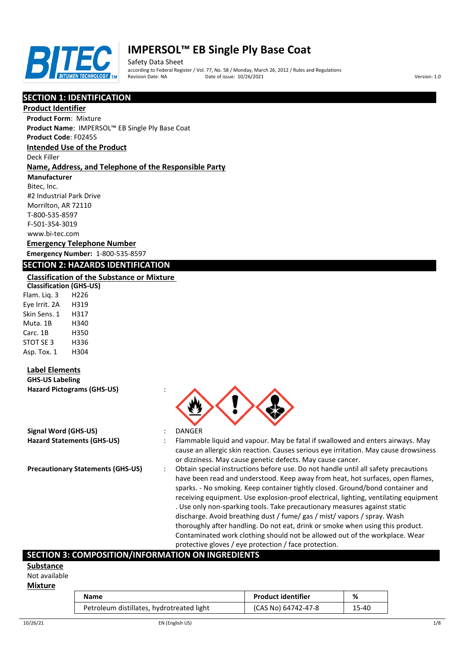

# **IMPERSOL™ EB Single Ply Base Coat**

Safety Data Sheet according to Federal Register / Vol. 77, No. 58 / Monday, March 26, 2012 / Rules and Regulations Pate of issue: 10/26/2021 **Version: 1.0** 

# **SECTION 1: IDENTIFICATION**

### **Product Identifier**

**Product Form**: Mixture

**Product Name**: IMPERSOL™ EB Single Ply Base Coat

**Product Code**: F02455

## **Intended Use of the Product**

Deck Filler

#### **Name, Address, and Telephone of the Responsible Party**

**Manufacturer**

Bitec, Inc. #2 Industrial Park Drive Morrilton, AR 72110 T-800-535-8597 F-501-354-3019 www.bi-tec.com

### **Emergency Telephone Number Emergency Number:** 1-800-535-8597

### **SECTION 2: HAZARDS IDENTIFICATION**

#### **Classification of the Substance or Mixture**

**Classification (GHS-US)** Flam. Liq. 3 H226 Eye Irrit. 2A H319 Skin Sens. 1 H317 Muta. 1B H340 Carc. 1B H350 STOT SE 3 H336 Asp. Tox. 1 H304

## **Label Elements**

**GHS-US Labeling Hazard Pictograms (GHS-US)** :

|  | Signal Word (GHS-US)              |  |
|--|-----------------------------------|--|
|  | <b>Hazard Statements (GHS-US)</b> |  |

- 
- **Signal Word (GHS-US)** : DANGER
- **Hazard Statements (GHS-US)** : Flammable liquid and vapour. May be fatal if swallowed and enters airways. May cause an allergic skin reaction. Causes serious eye irritation. May cause drowsiness or dizziness. May cause genetic defects. May cause cancer.
- **Precautionary Statements (GHS-US)** : Obtain special instructions before use. Do not handle until all safety precautions have been read and understood. Keep away from heat, hot surfaces, open flames, sparks. - No smoking. Keep container tightly closed. Ground/bond container and receiving equipment. Use explosion-proof electrical, lighting, ventilating equipment . Use only non-sparking tools. Take precautionary measures against static discharge. Avoid breathing dust / fume/ gas / mist/ vapors / spray. Wash thoroughly after handling. Do not eat, drink or smoke when using this product. Contaminated work clothing should not be allowed out of the workplace. Wear protective gloves / eye protection / face protection.

## **SECTION 3: COMPOSITION/INFORMATION ON INGREDIENTS**

### **Substance**

Not available

#### **Mixture**

| Name                                      | <b>Product identifier</b> | %     |
|-------------------------------------------|---------------------------|-------|
| Petroleum distillates, hydrotreated light | (CAS No) 64742-47-8       | 15-40 |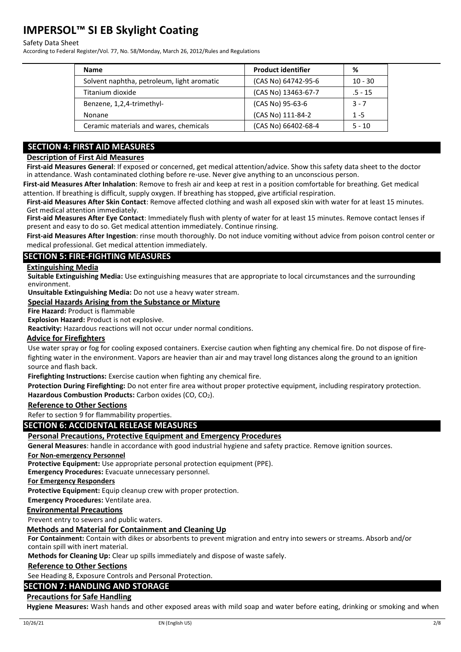#### Safety Data Sheet

According to Federal Register/Vol. 77, No. 58/Monday, March 26, 2012/Rules and Regulations

| <b>Name</b>                                | <b>Product identifier</b> | ℅         |
|--------------------------------------------|---------------------------|-----------|
| Solvent naphtha, petroleum, light aromatic | (CAS No) 64742-95-6       | $10 - 30$ |
| Titanium dioxide                           | (CAS No) 13463-67-7       | $.5 - 15$ |
| Benzene, 1,2,4-trimethyl-                  | (CAS No) 95-63-6          | $3 - 7$   |
| Nonane                                     | (CAS No) 111-84-2         | $1 - 5$   |
| Ceramic materials and wares, chemicals     | (CAS No) 66402-68-4       | $5 - 10$  |

# **SECTION 4: FIRST AID MEASURES**

# **Description of First Aid Measures**

**First-aid Measures General**: If exposed or concerned, get medical attention/advice. Show this safety data sheet to the doctor in attendance. Wash contaminated clothing before re-use. Never give anything to an unconscious person.

**First-aid Measures After Inhalation**: Remove to fresh air and keep at rest in a position comfortable for breathing. Get medical attention. If breathing is difficult, supply oxygen. If breathing has stopped, give artificial respiration.

**First-aid Measures After Skin Contact**: Remove affected clothing and wash all exposed skin with water for at least 15 minutes. Get medical attention immediately.

**First-aid Measures After Eye Contact**: Immediately flush with plenty of water for at least 15 minutes. Remove contact lenses if present and easy to do so. Get medical attention immediately. Continue rinsing.

**First-aid Measures After Ingestion**: rinse mouth thoroughly. Do not induce vomiting without advice from poison control center or medical professional. Get medical attention immediately.

# **SECTION 5: FIRE-FIGHTING MEASURES**

#### **Extinguishing Media**

**Suitable Extinguishing Media:** Use extinguishing measures that are appropriate to local circumstances and the surrounding environment.

**Unsuitable Extinguishing Media:** Do not use a heavy water stream.

### **Special Hazards Arising from the Substance or Mixture**

**Fire Hazard:** Product is flammable

**Explosion Hazard:** Product is not explosive.

**Reactivity:** Hazardous reactions will not occur under normal conditions.

#### **Advice for Firefighters**

Use water spray or fog for cooling exposed containers. Exercise caution when fighting any chemical fire. Do not dispose of firefighting water in the environment. Vapors are heavier than air and may travel long distances along the ground to an ignition source and flash back.

**Firefighting Instructions:** Exercise caution when fighting any chemical fire.

**Protection During Firefighting:** Do not enter fire area without proper protective equipment, including respiratory protection. Hazardous Combustion Products: Carbon oxides (CO, CO<sub>2</sub>).

#### **Reference to Other Sections**

Refer to section 9 for flammability properties.

#### **SECTION 6: ACCIDENTAL RELEASE MEASURES**

#### **Personal Precautions, Protective Equipment and Emergency Procedures**

**General Measures**: handle in accordance with good industrial hygiene and safety practice. Remove ignition sources.

#### **For Non-emergency Personnel**

**Protective Equipment:** Use appropriate personal protection equipment (PPE).

**Emergency Procedures:** Evacuate unnecessary personnel.

**For Emergency Responders**

**Protective Equipment:** Equip cleanup crew with proper protection.

**Emergency Procedures:** Ventilate area.

#### **Environmental Precautions**

Prevent entry to sewers and public waters.

#### **Methods and Material for Containment and Cleaning Up**

**For Containment:** Contain with dikes or absorbents to prevent migration and entry into sewers or streams. Absorb and/or contain spill with inert material.

**Methods for Cleaning Up:** Clear up spills immediately and dispose of waste safely.

#### **Reference to Other Sections**

See Heading 8, Exposure Controls and Personal Protection.

#### **SECTION 7: HANDLING AND STORAGE**

### **Precautions for Safe Handling**

**Hygiene Measures:** Wash hands and other exposed areas with mild soap and water before eating, drinking or smoking and when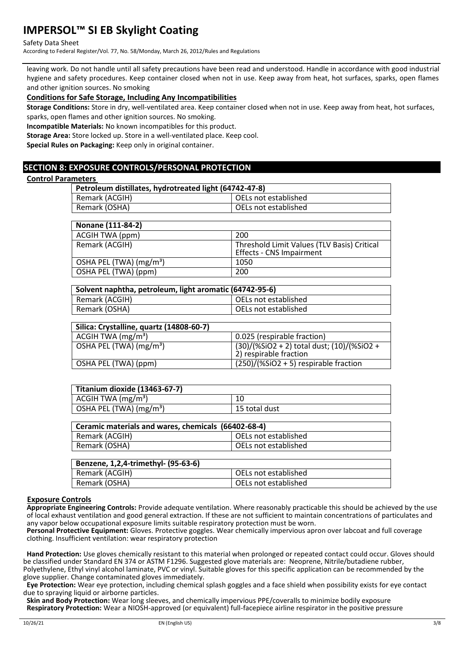#### Safety Data Sheet

According to Federal Register/Vol. 77, No. 58/Monday, March 26, 2012/Rules and Regulations

leaving work. Do not handle until all safety precautions have been read and understood. Handle in accordance with good industrial hygiene and safety procedures. Keep container closed when not in use. Keep away from heat, hot surfaces, sparks, open flames and other ignition sources. No smoking

#### **Conditions for Safe Storage, Including Any Incompatibilities**

**Storage Conditions:** Store in dry, well-ventilated area. Keep container closed when not in use. Keep away from heat, hot surfaces, sparks, open flames and other ignition sources. No smoking.

**Incompatible Materials:** No known incompatibles for this product.

**Storage Area:** Store locked up. Store in a well-ventilated place. Keep cool.

**Special Rules on Packaging:** Keep only in original container.

### **SECTION 8: EXPOSURE CONTROLS/PERSONAL PROTECTION**

#### **Control Parameters**

| .<br>Petroleum distillates, hydrotreated light (64742-47-8) |                      |  |
|-------------------------------------------------------------|----------------------|--|
| Remark (ACGIH)                                              | OELs not established |  |
| Remark (OSHA)                                               | OELs not established |  |
|                                                             |                      |  |
| Nonane (111-84-2)                                           |                      |  |

| ACGIH TWA (ppm)                     | 200                                                                            |
|-------------------------------------|--------------------------------------------------------------------------------|
| Remark (ACGIH)                      | Threshold Limit Values (TLV Basis) Critical<br><b>Effects - CNS Impairment</b> |
| OSHA PEL (TWA) (mg/m <sup>3</sup> ) | 1050                                                                           |
| OSHA PEL (TWA) (ppm)                | 200                                                                            |

| Solvent naphtha, petroleum, light aromatic (64742-95-6) |                      |  |
|---------------------------------------------------------|----------------------|--|
| Remark (ACGIH)                                          | OELs not established |  |
| Remark (OSHA)                                           | OELs not established |  |

| Silica: Crystalline, quartz (14808-60-7) |                                                                      |
|------------------------------------------|----------------------------------------------------------------------|
| ACGIH TWA $(mg/m3)$                      | 0.025 (respirable fraction)                                          |
| OSHA PEL (TWA) (mg/m <sup>3</sup> )      | (30)/(%SiO2 + 2) total dust; (10)/(%SiO2 +<br>2) respirable fraction |
| OSHA PEL (TWA) (ppm)                     | $(250)/(%SiO2 + 5)$ respirable fraction                              |

| Titanium dioxide (13463-67-7)               |               |
|---------------------------------------------|---------------|
| $\vert$ ACGIH TWA (mg/m <sup>3</sup> )      |               |
| $\vert$ OSHA PEL (TWA) (mg/m <sup>3</sup> ) | 15 total dust |

| Ceramic materials and wares, chemicals (66402-68-4) |                        |  |
|-----------------------------------------------------|------------------------|--|
| Remark (ACGIH)                                      | l OELs not established |  |
| Remark (OSHA)                                       | OELs not established   |  |

| Benzene, 1,2,4-trimethyl- (95-63-6) |                      |  |
|-------------------------------------|----------------------|--|
| Remark (ACGIH)                      | OELs not established |  |
| Remark (OSHA)                       | OELs not established |  |

#### **Exposure Controls**

**Appropriate Engineering Controls:** Provide adequate ventilation. Where reasonably practicable this should be achieved by the use of local exhaust ventilation and good general extraction. If these are not sufficient to maintain concentrations of particulates and any vapor below occupational exposure limits suitable respiratory protection must be worn.

**Personal Protective Equipment:** Gloves. Protective goggles. Wear chemically impervious apron over labcoat and full coverage clothing. Insufficient ventilation: wear respiratory protection

**Hand Protection:** Use gloves chemically resistant to this material when prolonged or repeated contact could occur. Gloves should be classified under Standard EN 374 or ASTM F1296. Suggested glove materials are: Neoprene, Nitrile/butadiene rubber, Polyethylene, Ethyl vinyl alcohol laminate, PVC or vinyl. Suitable gloves for this specific application can be recommended by the glove supplier. Change contaminated gloves immediately.

**Eye Protection:** Wear eye protection, including chemical splash goggles and a face shield when possibility exists for eye contact due to spraying liquid or airborne particles.

**Skin and Body Protection:** Wear long sleeves, and chemically impervious PPE/coveralls to minimize bodily exposure **Respiratory Protection:** Wear a NIOSH-approved (or equivalent) full-facepiece airline respirator in the positive pressure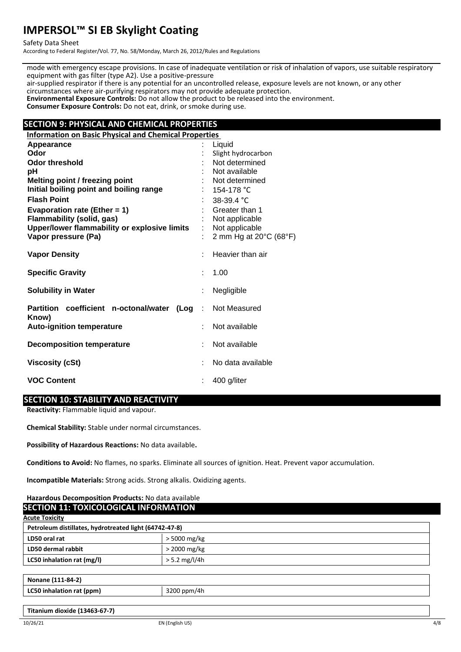Safety Data Sheet

According to Federal Register/Vol. 77, No. 58/Monday, March 26, 2012/Rules and Regulations

mode with emergency escape provisions. In case of inadequate ventilation or risk of inhalation of vapors, use suitable respiratory equipment with gas filter (type A2). Use a positive-pressure air-supplied respirator if there is any potential for an uncontrolled release, exposure levels are not known, or any other circumstances where air-purifying respirators may not provide adequate protection. **Environmental Exposure Controls:** Do not allow the product to be released into the environment. **Consumer Exposure Controls:** Do not eat, drink, or smoke during use.

# **SECTION 9: PHYSICAL AND CHEMICAL PROPERTIES**

**Information on Basic Physical and Chemical Properties Appearance** : Liquid **Odor** : Slight hydrocarbon **Odor threshold**<br> **pH** : Not available<br> **pH** : Not available Not available **Melting point / freezing point interpretational intervalse in the Melting point** in Not determined **Initial boiling point and boiling range** : 154-178 °C<br> **Flash Point** : 38-39.4 °C **Flash 38-39.4 °C**<br>Greater than 1 **Evaporation rate (Ether = 1) Flammability (solid, gas)** : Not applicable **Upper/lower flammability or explosive limits** : Not applicable **Vapor pressure (Pa)**  $\qquad \qquad$  : 2 mm Hg at 20°C (68°F) **Vapor Density Contract Contract Contract Contract Contract Contract Contract Contract Contract Contract Contract Contract Contract Contract Contract Contract Contract Contract Contract Contract Contract Contract Contrac Specific Gravity : 1.00 Solubility in Water Solubility in Water :** Negligible **Partition coefficient n-octonal/water (Log Know)** Not Measured **Auto-ignition temperature** : Not available **Decomposition temperature** : Not available **Viscosity (cSt)**  $\qquad \qquad$  : No data available **VOC Content** : 400 g/liter

## **SECTION 10: STABILITY AND REACTIVITY**

**Reactivity:** Flammable liquid and vapour.

**Chemical Stability:** Stable under normal circumstances.

**Possibility of Hazardous Reactions:** No data available**.**

**Conditions to Avoid:** No flames, no sparks. Eliminate all sources of ignition. Heat. Prevent vapor accumulation.

**Incompatible Materials:** Strong acids. Strong alkalis. Oxidizing agents.

#### **Hazardous Decomposition Products:** No data available **SECTION 11: TOXICOLOGICAL INFORMATION**

| <b>Acute Toxicity</b>                                  |                 |  |
|--------------------------------------------------------|-----------------|--|
| Petroleum distillates, hydrotreated light (64742-47-8) |                 |  |
| LD50 oral rat                                          | > 5000 mg/kg    |  |
| LD50 dermal rabbit                                     | $>$ 2000 mg/kg  |  |
| LC50 inhalation rat (mg/l)                             | $> 5.2$ mg/l/4h |  |
|                                                        |                 |  |
| Nonane (111-84-2)                                      |                 |  |
| LC50 inhalation rat (ppm)                              | 3200 ppm/4h     |  |
|                                                        |                 |  |
| Titanium dioxide (13463-67-7)                          |                 |  |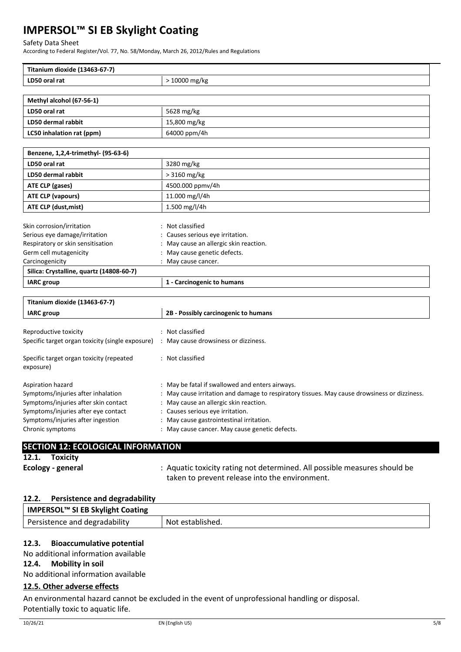#### Safety Data Sheet

According to Federal Register/Vol. 77, No. 58/Monday, March 26, 2012/Rules and Regulations

| Titanium dioxide (13463-67-7)                    |                                                                                            |  |
|--------------------------------------------------|--------------------------------------------------------------------------------------------|--|
| LD50 oral rat                                    | > 10000 mg/kg                                                                              |  |
|                                                  |                                                                                            |  |
| Methyl alcohol (67-56-1)                         |                                                                                            |  |
| LD50 oral rat                                    | 5628 mg/kg                                                                                 |  |
| LD50 dermal rabbit                               | 15,800 mg/kg                                                                               |  |
| LC50 inhalation rat (ppm)                        | 64000 ppm/4h                                                                               |  |
|                                                  |                                                                                            |  |
| Benzene, 1,2,4-trimethyl- (95-63-6)              |                                                                                            |  |
| LD50 oral rat                                    | 3280 mg/kg                                                                                 |  |
| LD50 dermal rabbit                               | > 3160 mg/kg                                                                               |  |
| <b>ATE CLP (gases)</b>                           | 4500.000 ppmv/4h                                                                           |  |
| ATE CLP (vapours)                                | 11.000 mg/l/4h                                                                             |  |
| ATE CLP (dust, mist)                             | 1.500 mg/l/4h                                                                              |  |
|                                                  |                                                                                            |  |
| Skin corrosion/irritation                        | Not classified                                                                             |  |
| Serious eye damage/irritation                    | Causes serious eye irritation.                                                             |  |
| Respiratory or skin sensitisation                | : May cause an allergic skin reaction.                                                     |  |
| Germ cell mutagenicity                           | May cause genetic defects.                                                                 |  |
| Carcinogenicity                                  | May cause cancer.                                                                          |  |
| Silica: Crystalline, quartz (14808-60-7)         |                                                                                            |  |
| <b>IARC</b> group                                | 1 - Carcinogenic to humans                                                                 |  |
|                                                  |                                                                                            |  |
| Titanium dioxide (13463-67-7)                    |                                                                                            |  |
| <b>IARC</b> group                                | 2B - Possibly carcinogenic to humans                                                       |  |
|                                                  |                                                                                            |  |
| Reproductive toxicity                            | : Not classified                                                                           |  |
| Specific target organ toxicity (single exposure) | : May cause drowsiness or dizziness.                                                       |  |
| Specific target organ toxicity (repeated         | : Not classified                                                                           |  |
| exposure)                                        |                                                                                            |  |
|                                                  |                                                                                            |  |
| Aspiration hazard                                | May be fatal if swallowed and enters airways.                                              |  |
| Symptoms/injuries after inhalation               | May cause irritation and damage to respiratory tissues. May cause drowsiness or dizziness. |  |
| Symptoms/injuries after skin contact             | : May cause an allergic skin reaction.                                                     |  |
| Symptoms/injuries after eye contact              | Causes serious eye irritation.                                                             |  |
| Symptoms/injuries after ingestion                | May cause gastrointestinal irritation.                                                     |  |
| Chronic symptoms                                 | : May cause cancer. May cause genetic defects.                                             |  |
|                                                  |                                                                                            |  |
| <b>SECTION 12: ECOLOGICAL INFORMATION</b>        |                                                                                            |  |
| 12.1.<br><b>Toxicity</b>                         |                                                                                            |  |

#### **12.2. Persistence and degradability**

| <b>IMPERSOL™ SI EB Skylight Coating</b> |                  |
|-----------------------------------------|------------------|
| Persistence and degradability           | Not established. |

taken to prevent release into the environment.

**Ecology - general** : Aquatic toxicity rating not determined. All possible measures should be

# **12.3. Bioaccumulative potential**

No additional information available

# **12.4. Mobility in soil**

No additional information available

# **12.5. Other adverse effects**

An environmental hazard cannot be excluded in the event of unprofessional handling or disposal. Potentially toxic to aquatic life.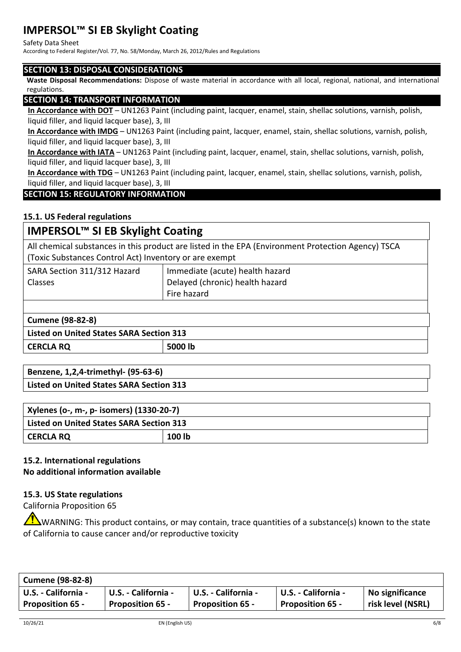#### Safety Data Sheet

According to Federal Register/Vol. 77, No. 58/Monday, March 26, 2012/Rules and Regulations

# **SECTION 13: DISPOSAL CONSIDERATIONS**

**Waste Disposal Recommendations:** Dispose of waste material in accordance with all local, regional, national, and international regulations.

# **SECTION 14: TRANSPORT INFORMATION**

**In Accordance with DOT** – UN1263 Paint (including paint, lacquer, enamel, stain, shellac solutions, varnish, polish, liquid filler, and liquid lacquer base), 3, III

**In Accordance with IMDG** – UN1263 Paint (including paint, lacquer, enamel, stain, shellac solutions, varnish, polish, liquid filler, and liquid lacquer base), 3, III

**In Accordance with IATA** – UN1263 Paint (including paint, lacquer, enamel, stain, shellac solutions, varnish, polish, liquid filler, and liquid lacquer base), 3, III

**In Accordance with TDG** – UN1263 Paint (including paint, lacquer, enamel, stain, shellac solutions, varnish, polish, liquid filler, and liquid lacquer base), 3, III

# **SECTION 15: REGULATORY INFORMATION**

# **15.1. US Federal regulations**

# **IMPERSOL™ SI EB Skylight Coating**

All chemical substances in this product are listed in the EPA (Environment Protection Agency) TSCA (Toxic Substances Control Act) Inventory or are exempt

| SARA Section 311/312 Hazard<br><b>Classes</b> | Immediate (acute) health hazard<br>Delayed (chronic) health hazard<br>Fire hazard |
|-----------------------------------------------|-----------------------------------------------------------------------------------|
|                                               |                                                                                   |

# **Cumene (98-82-8) Listed on United States SARA Section 313 CERCLA RQ 5000 lb**

| Benzene, 1,2,4-trimethyl- (95-63-6)             |  |
|-------------------------------------------------|--|
| <b>Listed on United States SARA Section 313</b> |  |

| Xylenes (o-, m-, p- isomers) (1330-20-7)        |        |  |  |
|-------------------------------------------------|--------|--|--|
| <b>Listed on United States SARA Section 313</b> |        |  |  |
| <b>CERCLA RQ</b>                                | 100 lb |  |  |

# **15.2. International regulations No additional information available**

# **15.3. US State regulations**

California Proposition 65

WARNING: This product contains, or may contain, trace quantities of a substance(s) known to the state of California to cause cancer and/or reproductive toxicity

| <b>Cumene (98-82-8)</b> |                         |                         |                         |                   |
|-------------------------|-------------------------|-------------------------|-------------------------|-------------------|
| U.S. - California -     | U.S. - California -     | U.S. - California -     | U.S. - California -     | No significance   |
| <b>Proposition 65 -</b> | <b>Proposition 65 -</b> | <b>Proposition 65 -</b> | <b>Proposition 65 -</b> | risk level (NSRL) |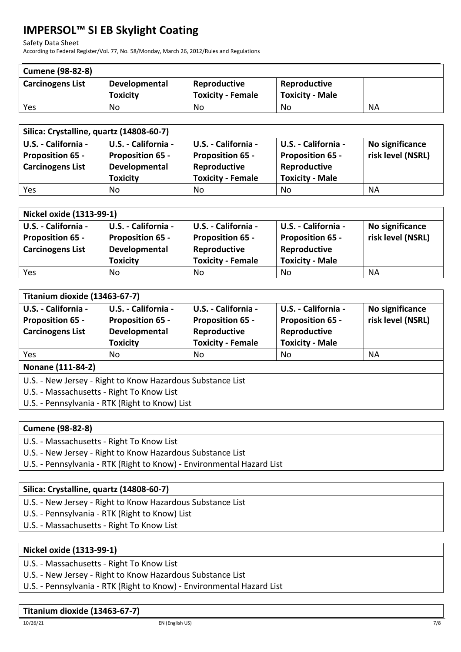Safety Data Sheet

According to Federal Register/Vol. 77, No. 58/Monday, March 26, 2012/Rules and Regulations

| <b>Cumene (98-82-8)</b> |                      |                          |                        |    |
|-------------------------|----------------------|--------------------------|------------------------|----|
| <b>Carcinogens List</b> | <b>Developmental</b> | Reproductive             | Reproductive           |    |
|                         | <b>Toxicity</b>      | <b>Toxicity - Female</b> | <b>Toxicity - Male</b> |    |
| Yes                     | No                   | No                       | No                     | ΝA |

| Silica: Crystalline, quartz (14808-60-7) |                         |                          |                         |                   |  |
|------------------------------------------|-------------------------|--------------------------|-------------------------|-------------------|--|
| U.S. - California -                      | U.S. - California -     | U.S. - California -      | U.S. - California -     | No significance   |  |
| <b>Proposition 65 -</b>                  | <b>Proposition 65 -</b> | <b>Proposition 65 -</b>  | <b>Proposition 65 -</b> | risk level (NSRL) |  |
| <b>Carcinogens List</b>                  | Developmental           | Reproductive             | Reproductive            |                   |  |
|                                          | <b>Toxicity</b>         | <b>Toxicity - Female</b> | <b>Toxicity - Male</b>  |                   |  |
| Yes                                      | No                      | No                       | No                      | ΝA                |  |

| Nickel oxide (1313-99-1) |                         |                          |                         |                   |  |
|--------------------------|-------------------------|--------------------------|-------------------------|-------------------|--|
| U.S. - California -      | U.S. - California -     | U.S. - California -      | U.S. - California -     | No significance   |  |
| <b>Proposition 65 -</b>  | <b>Proposition 65 -</b> | <b>Proposition 65 -</b>  | <b>Proposition 65 -</b> | risk level (NSRL) |  |
| <b>Carcinogens List</b>  | Developmental           | Reproductive             | Reproductive            |                   |  |
|                          | <b>Toxicity</b>         | <b>Toxicity - Female</b> | <b>Toxicity - Male</b>  |                   |  |
| Yes                      | No                      | No                       | No                      | <b>NA</b>         |  |

| Titanium dioxide (13463-67-7) |                         |                          |                         |                   |  |
|-------------------------------|-------------------------|--------------------------|-------------------------|-------------------|--|
| U.S. - California -           | U.S. - California -     | U.S. - California -      | U.S. - California -     | No significance   |  |
| <b>Proposition 65 -</b>       | <b>Proposition 65 -</b> | <b>Proposition 65 -</b>  | <b>Proposition 65 -</b> | risk level (NSRL) |  |
| <b>Carcinogens List</b>       | Developmental           | Reproductive             | Reproductive            |                   |  |
|                               | <b>Toxicity</b>         | <b>Toxicity - Female</b> | <b>Toxicity - Male</b>  |                   |  |
| Yes                           | No                      | No                       | No                      | NA                |  |
| <b>ALL CALLAGE AN</b>         |                         |                          |                         |                   |  |

## **Nonane (111-84-2)**

U.S. - New Jersey - Right to Know Hazardous Substance List

U.S. - Massachusetts - Right To Know List

U.S. - Pennsylvania - RTK (Right to Know) List

# **Cumene (98-82-8)**

- U.S. Massachusetts Right To Know List
- U.S. New Jersey Right to Know Hazardous Substance List

U.S. - Pennsylvania - RTK (Right to Know) - Environmental Hazard List

# **Silica: Crystalline, quartz (14808-60-7)**

- U.S. New Jersey Right to Know Hazardous Substance List
- U.S. Pennsylvania RTK (Right to Know) List
- U.S. Massachusetts Right To Know List

# **Nickel oxide (1313-99-1)**

U.S. - Massachusetts - Right To Know List

U.S. - New Jersey - Right to Know Hazardous Substance List

U.S. - Pennsylvania - RTK (Right to Know) - Environmental Hazard List

# **Titanium dioxide (13463-67-7)**